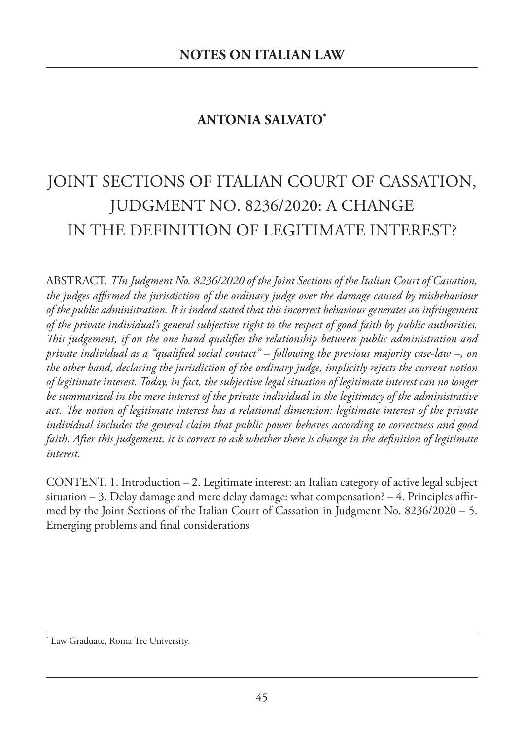## **ANTONIA SALVATO\***

# JOINT SECTIONS OF ITALIAN COURT OF CASSATION, JUDGMENT NO. 8236/2020: A CHANGE IN THE DEFINITION OF LEGITIMATE INTEREST?

ABSTRACT. *TIn Judgment No. 8236/2020 of the Joint Sections of the Italian Court of Cassation, the judges affirmed the jurisdiction of the ordinary judge over the damage caused by misbehaviour of the public administration. It is indeed stated that this incorrect behaviour generates an infringement of the private individual's general subjective right to the respect of good faith by public authorities. is judgement, if on the one hand qualifies the relationship between public administration and private individual as a "qualified social contact" – following the previous majority case-law –, on the other hand, declaring the jurisdiction of the ordinary judge, implicitly rejects the current notion of legitimate interest. Today, in fact, the subjective legal situation of legitimate interest can no longer be summarized in the mere interest of the private individual in the legitimacy of the administrative act. e notion of legitimate interest has a relational dimension: legitimate interest of the private individual includes the general claim that public power behaves according to correctness and good* faith. After this judgement, it is correct to ask whether there is change in the definition of legitimate *interest.*

CONTENT. 1. Introduction – 2. Legitimate interest: an Italian category of active legal subject situation – 3. Delay damage and mere delay damage: what compensation? – 4. Principles affirmed by the Joint Sections of the Italian Court of Cassation in Judgment No. 8236/2020 – 5. Emerging problems and final considerations

<sup>\*</sup> Law Graduate, Roma Tre University.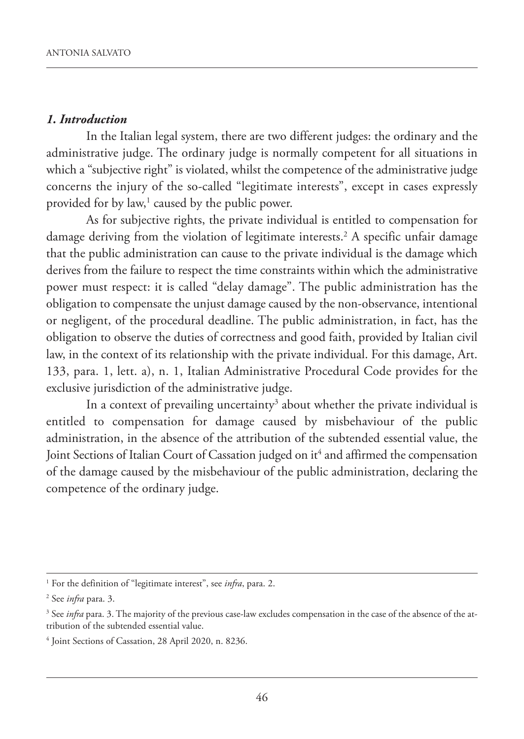#### *1. Introduction*

In the Italian legal system, there are two different judges: the ordinary and the administrative judge. The ordinary judge is normally competent for all situations in which a "subjective right" is violated, whilst the competence of the administrative judge concerns the injury of the so-called "legitimate interests", except in cases expressly provided for by law, <sup>1</sup> caused by the public power.

As for subjective rights, the private individual is entitled to compensation for damage deriving from the violation of legitimate interests. <sup>2</sup> A specific unfair damage that the public administration can cause to the private individual is the damage which derives from the failure to respect the time constraints within which the administrative power must respect: it is called "delay damage". The public administration has the obligation to compensate the unjust damage caused by the non-observance, intentional or negligent, of the procedural deadline. The public administration, in fact, has the obligation to observe the duties of correctness and good faith, provided by Italian civil law, in the context of its relationship with the private individual. For this damage, Art. 133, para. 1, lett. a), n. 1, Italian Administrative Procedural Code provides for the exclusive jurisdiction of the administrative judge.

In a context of prevailing uncertainty<sup>3</sup> about whether the private individual is entitled to compensation for damage caused by misbehaviour of the public administration, in the absence of the attribution of the subtended essential value, the Joint Sections of Italian Court of Cassation judged on it <sup>4</sup> and affirmed the compensation of the damage caused by the misbehaviour of the public administration, declaring the competence of the ordinary judge.

<sup>1</sup> For the definition of "legitimate interest", see *infra*, para. 2.

<sup>2</sup> See *infra* para. 3.

<sup>3</sup> See *infra* para. 3. The majority of the previous case-law excludes compensation in the case of the absence of the attribution of the subtended essential value.

<sup>4</sup> Joint Sections of Cassation, 28 April 2020, n. 8236.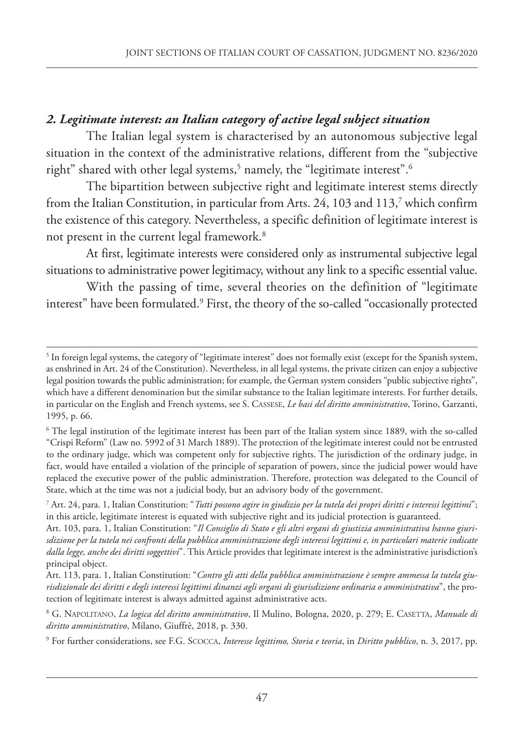### *2. Legitimate interest: an Italian category of active legal subject situation*

The Italian legal system is characterised by an autonomous subjective legal situation in the context of the administrative relations, different from the "subjective right" shared with other legal systems, <sup>5</sup> namely, the "legitimate interest". 6

The bipartition between subjective right and legitimate interest stems directly from the Italian Constitution, in particular from Arts. 24, 103 and 113, <sup>7</sup> which confirm the existence of this category. Nevertheless, a specific definition of legitimate interest is not present in the current legal framework. 8

At first, legitimate interests were considered only as instrumental subjective legal situations to administrative power legitimacy, without any link to a specific essential value.

With the passing of time, several theories on the definition of "legitimate interest" have been formulated. <sup>9</sup> First, the theory of the so-called "occasionally protected

 $5$  In foreign legal systems, the category of "legitimate interest" does not formally exist (except for the Spanish system, as enshrined in Art. 24 of the Constitution). Nevertheless, in all legal systems, the private citizen can enjoy a subjective legal position towards the public administration; for example, the German system considers "public subjective rights", which have a different denomination but the similar substance to the Italian legitimate interests. For further details, in particular on the English and French systems, see S. CASSESE, *Le basi del diritto amministrativo*, Torino, Garzanti, 1995, p. 66.

<sup>&</sup>lt;sup>6</sup> The legal institution of the legitimate interest has been part of the Italian system since 1889, with the so-called "Crispi Reform" (Law no. 5992 of 31 March 1889). The protection of the legitimate interest could not be entrusted to the ordinary judge, which was competent only for subjective rights. The jurisdiction of the ordinary judge, in fact, would have entailed a violation of the principle of separation of powers, since the judicial power would have replaced the executive power of the public administration. Therefore, protection was delegated to the Council of State, which at the time was not a judicial body, but an advisory body of the government.

<sup>7</sup> Art. 24, para. 1, Italian Constitution: "Tutti possono agire in giudizio per la tutela dei propri diritti e interessi legittimi"; in this article, legitimate interest is equated with subjective right and its judicial protection is guaranteed.

Art. 103, para. 1, Italian Constitution: "*Il Consiglio di Stato e gli altri organi di giustizia amministrativa hanno giuri*sdizione per la tutela nei confronti della pubblica amministrazione degli interessi legittimi e, in particolari materie indicate *dalla legge, anche dei diritti soggettivi*". This Article provides that legitimate interest is the administrative jurisdiction's principal object.

Art. 113, para. 1, Italian Constitution: "*Contro gli atti della pubblica amministrazione è sempre ammessa la tutela giu*risdizionale dei diritti e degli interessi legittimi dinanzi agli organi di giurisdizione ordinaria o amministrativa", the protection of legitimate interest is always admitted against administrative acts.

<sup>8</sup> G. NAPOLITANO, *La logica del diritto amministrativo*, Il Mulino, Bologna, 2020, p. 279; E. CASETTA, *Manuale di diritto amministrativo*, Milano, Giuffrè, 2018, p. 330.

<sup>9</sup> For further considerations, see F.G. SCOCCA, *Interesse legittimo, Storia e teoria*, in *Diritto pubblico*, n. 3, 2017, pp.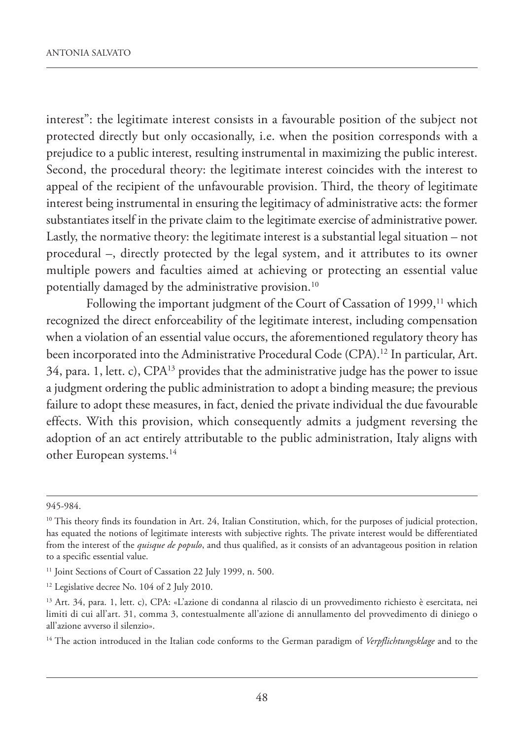interest": the legitimate interest consists in a favourable position of the subject not protected directly but only occasionally, i.e. when the position corresponds with a prejudice to a public interest, resulting instrumental in maximizing the public interest. Second, the procedural theory: the legitimate interest coincides with the interest to appeal of the recipient of the unfavourable provision. Third, the theory of legitimate interest being instrumental in ensuring the legitimacy of administrative acts: the former substantiates itself in the private claim to the legitimate exercise of administrative power. Lastly, the normative theory: the legitimate interest is a substantial legal situation – not procedural –, directly protected by the legal system, and it attributes to its owner multiple powers and faculties aimed at achieving or protecting an essential value potentially damaged by the administrative provision. 10

Following the important judgment of the Court of Cassation of 1999,<sup>11</sup> which recognized the direct enforceability of the legitimate interest, including compensation when a violation of an essential value occurs, the aforementioned regulatory theory has been incorporated into the Administrative Procedural Code (CPA). <sup>12</sup> In particular, Art. 34, para. 1, lett. c), CPA13 provides that the administrative judge has the power to issue a judgment ordering the public administration to adopt a binding measure; the previous failure to adopt these measures, in fact, denied the private individual the due favourable effects. With this provision, which consequently admits a judgment reversing the adoption of an act entirely attributable to the public administration, Italy aligns with other European systems. 14

<sup>14</sup> The action introduced in the Italian code conforms to the German paradigm of *Verpflichtungsklage* and to the

<sup>945-984.</sup>

 $10$  This theory finds its foundation in Art. 24, Italian Constitution, which, for the purposes of judicial protection, has equated the notions of legitimate interests with subjective rights. The private interest would be differentiated from the interest of the *quisque de populo*, and thus qualified, as it consists of an advantageous position in relation to a specific essential value.

<sup>&</sup>lt;sup>11</sup> Joint Sections of Court of Cassation 22 July 1999, n. 500.

<sup>&</sup>lt;sup>12</sup> Legislative decree No. 104 of 2 July 2010.

<sup>13</sup> Art. 34, para. 1, lett. c), CPA: «L'azione di condanna al rilascio di un provvedimento richiesto è esercitata, nei limiti di cui all'art. 31, comma 3, contestualmente all'azione di annullamento del provvedimento di diniego o all'azione avverso il silenzio».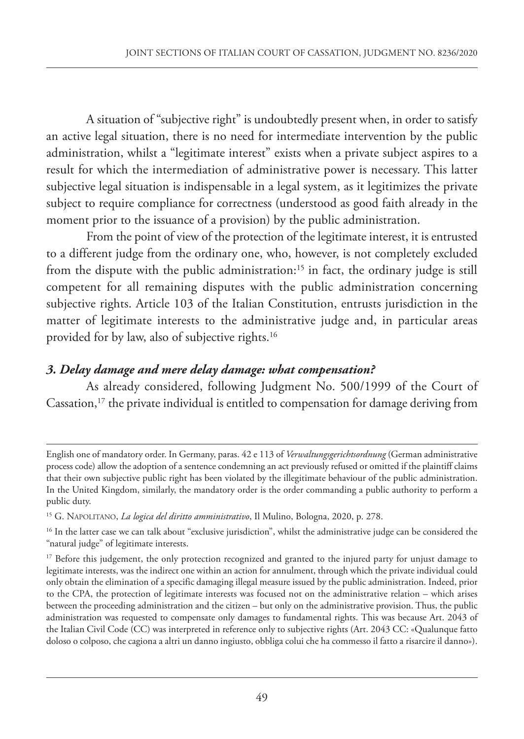A situation of "subjective right" is undoubtedly present when, in order to satisfy an active legal situation, there is no need for intermediate intervention by the public administration, whilst a "legitimate interest" exists when a private subject aspires to a result for which the intermediation of administrative power is necessary. This latter subjective legal situation is indispensable in a legal system, as it legitimizes the private subject to require compliance for correctness (understood as good faith already in the moment prior to the issuance of a provision) by the public administration.

From the point of view of the protection of the legitimate interest, it is entrusted to a different judge from the ordinary one, who, however, is not completely excluded from the dispute with the public administration: <sup>15</sup> in fact, the ordinary judge is still competent for all remaining disputes with the public administration concerning subjective rights. Article 103 of the Italian Constitution, entrusts jurisdiction in the matter of legitimate interests to the administrative judge and, in particular areas provided for by law, also of subjective rights. 16

#### *3. Delay damage and mere delay damage: what compensation?*

As already considered, following Judgment No. 500/1999 of the Court of Cassation, <sup>17</sup> the private individual is entitled to compensation for damage deriving from

English one of mandatory order. In Germany, paras. 42 e 113 of *Verwaltungsgerichtsordnung* (German administrative process code) allow the adoption of a sentence condemning an act previously refused or omitted if the plaintiff claims that their own subjective public right has been violated by the illegitimate behaviour of the public administration. In the United Kingdom, similarly, the mandatory order is the order commanding a public authority to perform a public duty.

<sup>15</sup> G. NAPOLITANO, *La logica del diritto amministrativo*, Il Mulino, Bologna, 2020, p. 278.

<sup>&</sup>lt;sup>16</sup> In the latter case we can talk about "exclusive jurisdiction", whilst the administrative judge can be considered the "natural judge" of legitimate interests.

<sup>&</sup>lt;sup>17</sup> Before this judgement, the only protection recognized and granted to the injured party for unjust damage to legitimate interests, was the indirect one within an action for annulment, through which the private individual could only obtain the elimination of a specific damaging illegal measure issued by the public administration. Indeed, prior to the CPA, the protection of legitimate interests was focused not on the administrative relation – which arises between the proceeding administration and the citizen – but only on the administrative provision. Thus, the public administration was requested to compensate only damages to fundamental rights. This was because Art. 2043 of the Italian Civil Code (CC) was interpreted in reference only to subjective rights (Art. 2043 CC: «Qualunque fatto doloso o colposo, che cagiona a altri un danno ingiusto, obbliga colui che ha commesso il fatto a risarcire il danno»).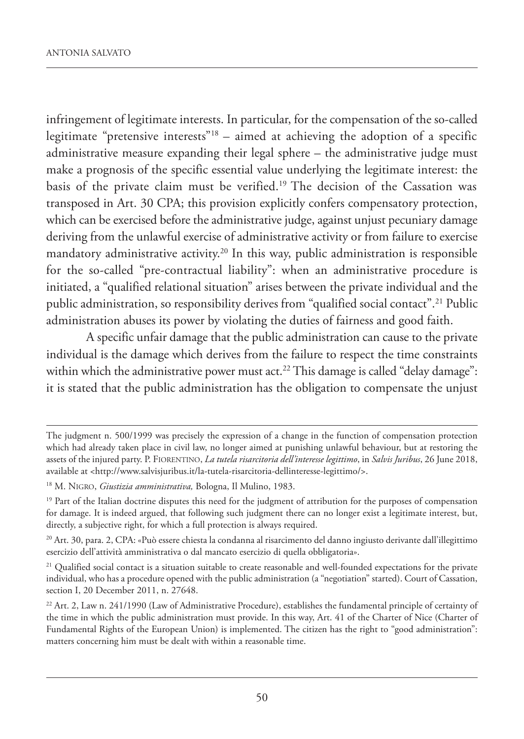infringement of legitimate interests. In particular, for the compensation of the so-called legitimate "pretensive interests"<sup>18</sup> – aimed at achieving the adoption of a specific administrative measure expanding their legal sphere – the administrative judge must make a prognosis of the specific essential value underlying the legitimate interest: the basis of the private claim must be verified. <sup>19</sup> The decision of the Cassation was transposed in Art. 30 CPA; this provision explicitly confers compensatory protection, which can be exercised before the administrative judge, against unjust pecuniary damage deriving from the unlawful exercise of administrative activity or from failure to exercise mandatory administrative activity. <sup>20</sup> In this way, public administration is responsible for the so-called "pre-contractual liability": when an administrative procedure is initiated, a "qualified relational situation" arises between the private individual and the public administration, so responsibility derives from "qualified social contact". <sup>21</sup> Public administration abuses its power by violating the duties of fairness and good faith.

A specific unfair damage that the public administration can cause to the private individual is the damage which derives from the failure to respect the time constraints within which the administrative power must act. <sup>22</sup> This damage is called "delay damage": it is stated that the public administration has the obligation to compensate the unjust

The judgment n. 500/1999 was precisely the expression of a change in the function of compensation protection which had already taken place in civil law, no longer aimed at punishing unlawful behaviour, but at restoring the assets of the injured party. P. FIORENTINO, *La tutela risarcitoria dell'interesse legittimo*, in *Salvis Juribus*, 26 June 2018, available at <http://www.salvisjuribus.it/la-tutela-risarcitoria-dellinteresse-legittimo/>.

<sup>18</sup> M. NIGRO, *Giustizia amministrativa,* Bologna, Il Mulino, 1983.

<sup>&</sup>lt;sup>19</sup> Part of the Italian doctrine disputes this need for the judgment of attribution for the purposes of compensation for damage. It is indeed argued, that following such judgment there can no longer exist a legitimate interest, but, directly, a subjective right, for which a full protection is always required.

<sup>20</sup> Art. 30, para. 2, CPA: «Può essere chiesta la condanna al risarcimento del danno ingiusto derivante dall'illegittimo esercizio dell'attività amministrativa o dal mancato esercizio di quella obbligatoria».

<sup>&</sup>lt;sup>21</sup> Qualified social contact is a situation suitable to create reasonable and well-founded expectations for the private individual, who has a procedure opened with the public administration (a "negotiation" started). Court of Cassation, section I, 20 December 2011, n. 27648.

 $^{22}$  Art. 2, Law n. 241/1990 (Law of Administrative Procedure), establishes the fundamental principle of certainty of the time in which the public administration must provide. In this way, Art. 41 of the Charter of Nice (Charter of Fundamental Rights of the European Union) is implemented. The citizen has the right to "good administration": matters concerning him must be dealt with within a reasonable time.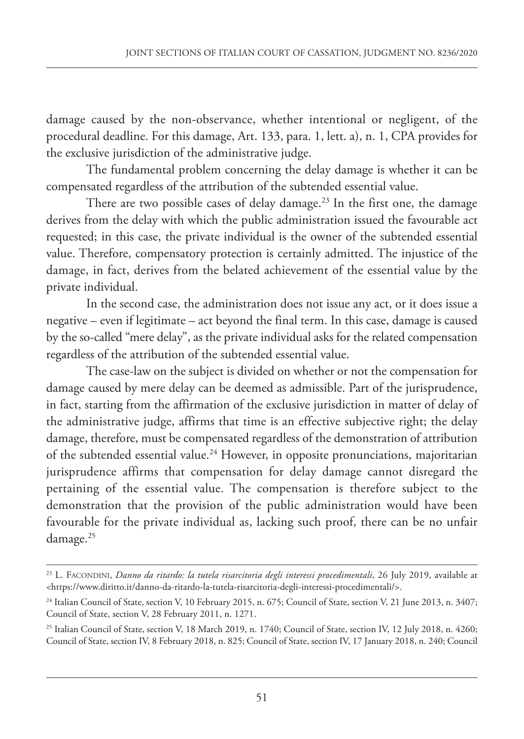damage caused by the non-observance, whether intentional or negligent, of the procedural deadline. For this damage, Art. 133, para. 1, lett. a), n. 1, CPA provides for the exclusive jurisdiction of the administrative judge.

The fundamental problem concerning the delay damage is whether it can be compensated regardless of the attribution of the subtended essential value.

There are two possible cases of delay damage. <sup>23</sup> In the first one, the damage derives from the delay with which the public administration issued the favourable act requested; in this case, the private individual is the owner of the subtended essential value. Therefore, compensatory protection is certainly admitted. The injustice of the damage, in fact, derives from the belated achievement of the essential value by the private individual.

In the second case, the administration does not issue any act, or it does issue a negative – even if legitimate – act beyond the final term. In this case, damage is caused by the so-called "mere delay", as the private individual asks for the related compensation regardless of the attribution of the subtended essential value.

The case-law on the subject is divided on whether or not the compensation for damage caused by mere delay can be deemed as admissible. Part of the jurisprudence, in fact, starting from the affirmation of the exclusive jurisdiction in matter of delay of the administrative judge, affirms that time is an effective subjective right; the delay damage, therefore, must be compensated regardless of the demonstration of attribution of the subtended essential value. <sup>24</sup> However, in opposite pronunciations, majoritarian jurisprudence affirms that compensation for delay damage cannot disregard the pertaining of the essential value. The compensation is therefore subject to the demonstration that the provision of the public administration would have been favourable for the private individual as, lacking such proof, there can be no unfair damage. 25

<sup>23</sup> L. FACONDINI, *Danno da ritardo: la tutela risarcitoria degli interessi procedimentali*, 26 July 2019, available at <https://www.diritto.it/danno-da-ritardo-la-tutela-risarcitoria-degli-interessi-procedimentali/>.

<sup>&</sup>lt;sup>24</sup> Italian Council of State, section V, 10 February 2015, n. 675; Council of State, section V, 21 June 2013, n. 3407; Council of State, section V, 28 February 2011, n. 1271.

<sup>&</sup>lt;sup>25</sup> Italian Council of State, section V, 18 March 2019, n. 1740; Council of State, section IV, 12 July 2018, n. 4260; Council of State, section IV, 8 February 2018, n. 825; Council of State, section IV, 17 January 2018, n. 240; Council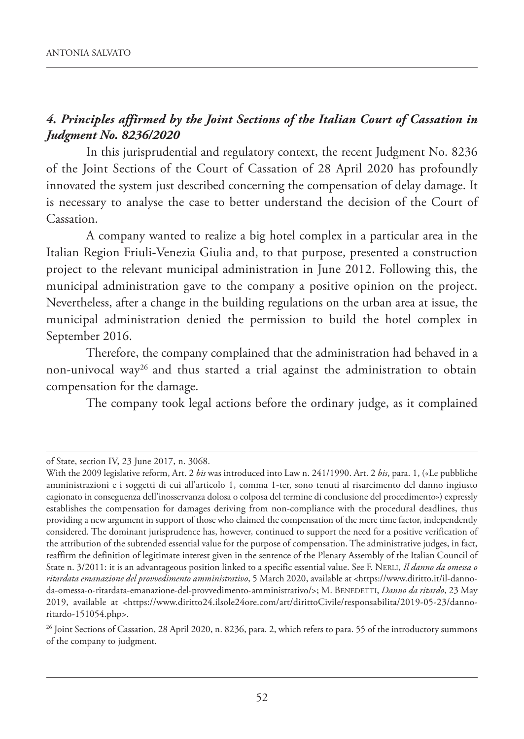#### *4. Principles affirmed by the Joint Sections of the Italian Court of Cassation in Judgment No. 8236/2020*

In this jurisprudential and regulatory context, the recent Judgment No. 8236 of the Joint Sections of the Court of Cassation of 28 April 2020 has profoundly innovated the system just described concerning the compensation of delay damage. It is necessary to analyse the case to better understand the decision of the Court of Cassation.

A company wanted to realize a big hotel complex in a particular area in the Italian Region Friuli-Venezia Giulia and, to that purpose, presented a construction project to the relevant municipal administration in June 2012. Following this, the municipal administration gave to the company a positive opinion on the project. Nevertheless, after a change in the building regulations on the urban area at issue, the municipal administration denied the permission to build the hotel complex in September 2016.

Therefore, the company complained that the administration had behaved in a non-univocal way26 and thus started a trial against the administration to obtain compensation for the damage.

The company took legal actions before the ordinary judge, as it complained

of State, section IV, 23 June 2017, n. 3068.

With the 2009 legislative reform, Art. 2 *bis* was introduced into Law n. 241/1990. Art. 2 *bis*, para. 1, («Le pubbliche amministrazioni e i soggetti di cui all'articolo 1, comma 1-ter, sono tenuti al risarcimento del danno ingiusto cagionato in conseguenza dell'inosservanza dolosa o colposa del termine di conclusione del procedimento») expressly establishes the compensation for damages deriving from non-compliance with the procedural deadlines, thus providing a new argument in support of those who claimed the compensation of the mere time factor, independently considered. The dominant jurisprudence has, however, continued to support the need for a positive verification of the attribution of the subtended essential value for the purpose of compensation. The administrative judges, in fact, reaffirm the definition of legitimate interest given in the sentence of the Plenary Assembly of the Italian Council of State n. 3/2011: it is an advantageous position linked to a specific essential value. See F. NERLI, *Il danno da omessa o ritardata emanazione del provvedimento amministrativo*, 5 March 2020, available at <https://www.diritto.it/il-dannoda-omessa-o-ritardata-emanazione-del-provvedimento-amministrativo/>; M. BENEDETTI, *Danno da ritardo*, 23 May 2019, available at <https://www.diritto24.ilsole24ore.com/art/dirittoCivile/responsabilita/2019-05-23/dannoritardo-151054.php>.

<sup>&</sup>lt;sup>26</sup> Joint Sections of Cassation, 28 April 2020, n. 8236, para. 2, which refers to para. 55 of the introductory summons of the company to judgment.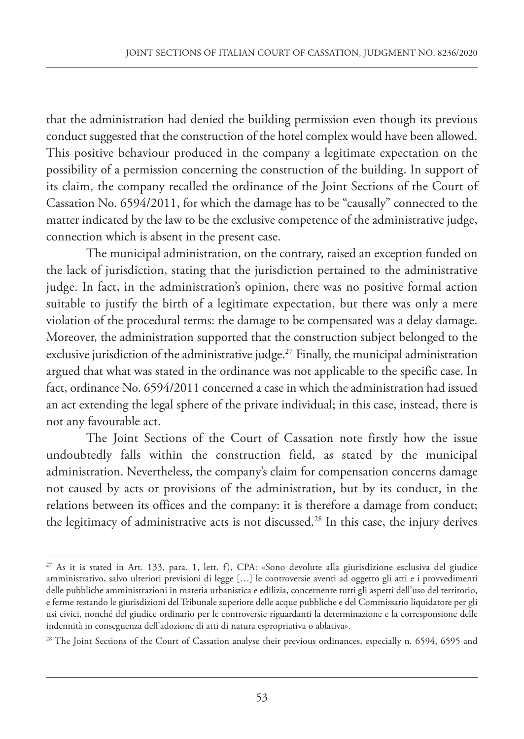that the administration had denied the building permission even though its previous conduct suggested that the construction of the hotel complex would have been allowed. This positive behaviour produced in the company a legitimate expectation on the possibility of a permission concerning the construction of the building. In support of its claim, the company recalled the ordinance of the Joint Sections of the Court of Cassation No. 6594/2011, for which the damage has to be "causally" connected to the matter indicated by the law to be the exclusive competence of the administrative judge, connection which is absent in the present case.

The municipal administration, on the contrary, raised an exception funded on the lack of jurisdiction, stating that the jurisdiction pertained to the administrative judge. In fact, in the administration's opinion, there was no positive formal action suitable to justify the birth of a legitimate expectation, but there was only a mere violation of the procedural terms: the damage to be compensated was a delay damage. Moreover, the administration supported that the construction subject belonged to the exclusive jurisdiction of the administrative judge. <sup>27</sup> Finally, the municipal administration argued that what was stated in the ordinance was not applicable to the specific case. In fact, ordinance No. 6594/2011 concerned a case in which the administration had issued an act extending the legal sphere of the private individual; in this case, instead, there is not any favourable act.

The Joint Sections of the Court of Cassation note firstly how the issue undoubtedly falls within the construction field, as stated by the municipal administration. Nevertheless, the company's claim for compensation concerns damage not caused by acts or provisions of the administration, but by its conduct, in the relations between its offices and the company: it is therefore a damage from conduct; the legitimacy of administrative acts is not discussed. <sup>28</sup> In this case, the injury derives

<sup>27</sup> As it is stated in Art. 133, para. 1, lett. f), CPA: «Sono devolute alla giurisdizione esclusiva del giudice amministrativo, salvo ulteriori previsioni di legge […] le controversie aventi ad oggetto gli atti e i provvedimenti delle pubbliche amministrazioni in materia urbanistica e edilizia, concernente tutti gli aspetti dell'uso del territorio, e ferme restando le giurisdizioni del Tribunale superiore delle acque pubbliche e del Commissario liquidatore per gli usi civici, nonché del giudice ordinario per le controversie riguardanti la determinazione e la corresponsione delle indennità in conseguenza dell'adozione di atti di natura espropriativa o ablativa».

<sup>&</sup>lt;sup>28</sup> The Joint Sections of the Court of Cassation analyse their previous ordinances, especially n. 6594, 6595 and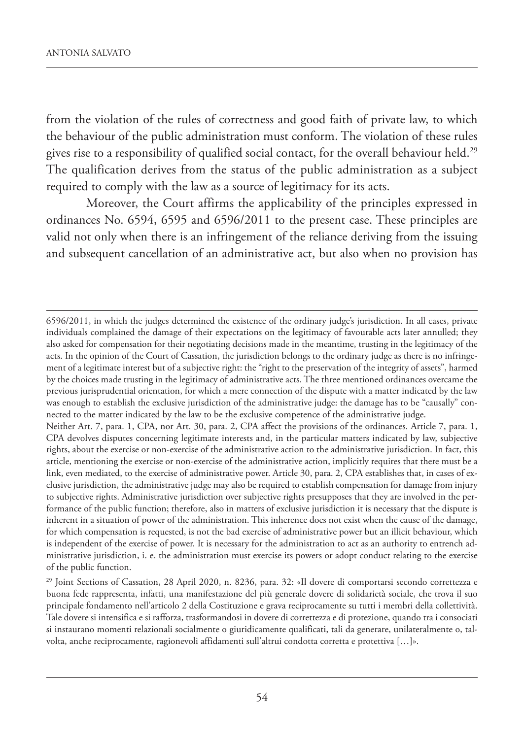from the violation of the rules of correctness and good faith of private law, to which the behaviour of the public administration must conform. The violation of these rules gives rise to a responsibility of qualified social contact, for the overall behaviour held. 29 The qualification derives from the status of the public administration as a subject required to comply with the law as a source of legitimacy for its acts.

Moreover, the Court affirms the applicability of the principles expressed in ordinances No. 6594, 6595 and 6596/2011 to the present case. These principles are valid not only when there is an infringement of the reliance deriving from the issuing and subsequent cancellation of an administrative act, but also when no provision has

<sup>6596/2011,</sup> in which the judges determined the existence of the ordinary judge's jurisdiction. In all cases, private individuals complained the damage of their expectations on the legitimacy of favourable acts later annulled; they also asked for compensation for their negotiating decisions made in the meantime, trusting in the legitimacy of the acts. In the opinion of the Court of Cassation, the jurisdiction belongs to the ordinary judge as there is no infringement of a legitimate interest but of a subjective right: the "right to the preservation of the integrity of assets", harmed by the choices made trusting in the legitimacy of administrative acts. The three mentioned ordinances overcame the previous jurisprudential orientation, for which a mere connection of the dispute with a matter indicated by the law was enough to establish the exclusive jurisdiction of the administrative judge: the damage has to be "causally" connected to the matter indicated by the law to be the exclusive competence of the administrative judge.

Neither Art. 7, para. 1, CPA, nor Art. 30, para. 2, CPA affect the provisions of the ordinances. Article 7, para. 1, CPA devolves disputes concerning legitimate interests and, in the particular matters indicated by law, subjective rights, about the exercise or non-exercise of the administrative action to the administrative jurisdiction. In fact, this article, mentioning the exercise or non-exercise of the administrative action, implicitly requires that there must be a link, even mediated, to the exercise of administrative power. Article 30, para. 2, CPA establishes that, in cases of exclusive jurisdiction, the administrative judge may also be required to establish compensation for damage from injury to subjective rights. Administrative jurisdiction over subjective rights presupposes that they are involved in the performance of the public function; therefore, also in matters of exclusive jurisdiction it is necessary that the dispute is inherent in a situation of power of the administration. This inherence does not exist when the cause of the damage, for which compensation is requested, is not the bad exercise of administrative power but an illicit behaviour, which is independent of the exercise of power. It is necessary for the administration to act as an authority to entrench administrative jurisdiction, i. e. the administration must exercise its powers or adopt conduct relating to the exercise of the public function.

<sup>29</sup> Joint Sections of Cassation, 28 April 2020, n. 8236, para. 32: «Il dovere di comportarsi secondo correttezza e buona fede rappresenta, infatti, una manifestazione del più generale dovere di solidarietà sociale, che trova il suo principale fondamento nell'articolo 2 della Costituzione e grava reciprocamente su tutti i membri della collettività. Tale dovere si intensifica e si rafforza, trasformandosi in dovere di correttezza e di protezione, quando tra i consociati si instaurano momenti relazionali socialmente o giuridicamente qualificati, tali da generare, unilateralmente o, talvolta, anche reciprocamente, ragionevoli affidamenti sull'altrui condotta corretta e protettiva […]».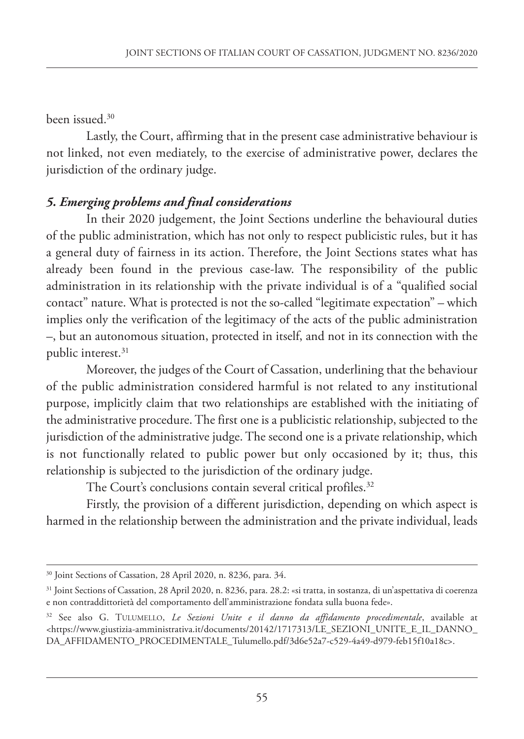been issued. 30

Lastly, the Court, affirming that in the present case administrative behaviour is not linked, not even mediately, to the exercise of administrative power, declares the jurisdiction of the ordinary judge.

#### *5. Emerging problems and final considerations*

In their 2020 judgement, the Joint Sections underline the behavioural duties of the public administration, which has not only to respect publicistic rules, but it has a general duty of fairness in its action. Therefore, the Joint Sections states what has already been found in the previous case-law. The responsibility of the public administration in its relationship with the private individual is of a "qualified social contact" nature. What is protected is not the so-called "legitimate expectation" – which implies only the verification of the legitimacy of the acts of the public administration –, but an autonomous situation, protected in itself, and not in its connection with the public interest. 31

Moreover, the judges of the Court of Cassation, underlining that the behaviour of the public administration considered harmful is not related to any institutional purpose, implicitly claim that two relationships are established with the initiating of the administrative procedure. The first one is a publicistic relationship, subjected to the jurisdiction of the administrative judge. The second one is a private relationship, which is not functionally related to public power but only occasioned by it; thus, this relationship is subjected to the jurisdiction of the ordinary judge.

The Court's conclusions contain several critical profiles. 32

Firstly, the provision of a different jurisdiction, depending on which aspect is harmed in the relationship between the administration and the private individual, leads

<sup>30</sup> Joint Sections of Cassation, 28 April 2020, n. 8236, para. 34.

<sup>31</sup> Joint Sections of Cassation, 28 April 2020, n. 8236, para. 28.2: «si tratta, in sostanza, di un'aspettativa di coerenza e non contraddittorietà del comportamento dell'amministrazione fondata sulla buona fede».

<sup>32</sup> See also G. TULUMELLO, *Le Sezioni Unite e il danno da affidamento procedimentale*, available at <https://www.giustizia-amministrativa.it/documents/20142/1717313/LE\_SEzIONI\_UNITE\_E\_IL\_DANNO\_ DA\_AFFIDAMENTO\_PROCEDIMENTALE\_Tulumello.pdf/3d6e52a7-c529-4a49-d979-feb15f10a18c>.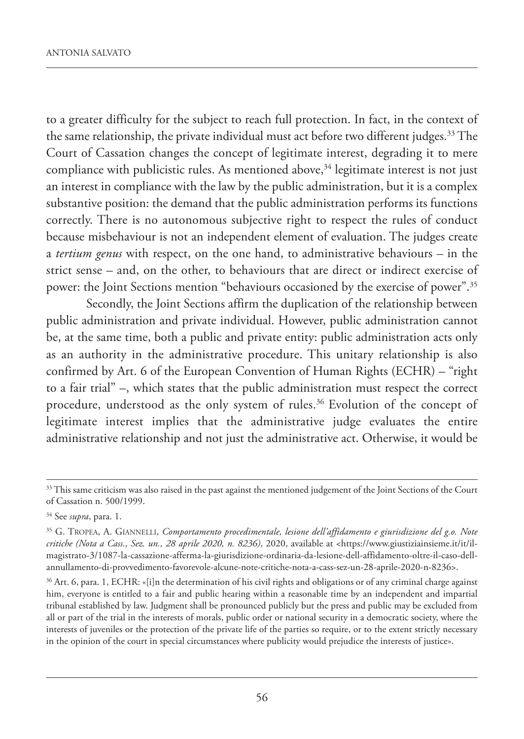to a greater difficulty for the subject to reach full protection. In fact, in the context of the same relationship, the private individual must act before two different judges. <sup>33</sup> The Court of Cassation changes the concept of legitimate interest, degrading it to mere compliance with publicistic rules. As mentioned above, <sup>34</sup> legitimate interest is not just an interest in compliance with the law by the public administration, but it is a complex substantive position: the demand that the public administration performs its functions correctly. There is no autonomous subjective right to respect the rules of conduct because misbehaviour is not an independent element of evaluation. The judges create a *tertium genus* with respect, on the one hand, to administrative behaviours – in the strict sense – and, on the other, to behaviours that are direct or indirect exercise of power: the Joint Sections mention "behaviours occasioned by the exercise of power". 35

Secondly, the Joint Sections affirm the duplication of the relationship between public administration and private individual. However, public administration cannot be, at the same time, both a public and private entity: public administration acts only as an authority in the administrative procedure. This unitary relationship is also confirmed by Art. 6 of the European Convention of Human Rights (ECHR) – "right to a fair trial" –, which states that the public administration must respect the correct procedure, understood as the only system of rules. <sup>36</sup> Evolution of the concept of legitimate interest implies that the administrative judge evaluates the entire administrative relationship and not just the administrative act. Otherwise, it would be

<sup>&</sup>lt;sup>33</sup> This same criticism was also raised in the past against the mentioned judgement of the Joint Sections of the Court of Cassation n. 500/1999.

<sup>34</sup> See *supra*, para. 1.

<sup>35</sup> G. TROPEA, A. GIANNELLI, *Comportamento procedimentale, lesione dell'affidamento e giurisdizione del g.o. Note critiche (Nota a Cass., Sez. un., 28 aprile 2020, n. 8236)*, 2020, available at <https://www.giustiziainsieme.it/it/ilmagistrato-3/1087-la-cassazione-afferma-la-giurisdizione-ordinaria-da-lesione-dell-affidamento-oltre-il-caso-dellannullamento-di-provvedimento-favorevole-alcune-note-critiche-nota-a-cass-sez-un-28-aprile-2020-n-8236>.

<sup>&</sup>lt;sup>36</sup> Art. 6, para. 1, ECHR: «[i]n the determination of his civil rights and obligations or of any criminal charge against him, everyone is entitled to a fair and public hearing within a reasonable time by an independent and impartial tribunal established by law. Judgment shall be pronounced publicly but the press and public may be excluded from all or part of the trial in the interests of morals, public order or national security in a democratic society, where the interests of juveniles or the protection of the private life of the parties so require, or to the extent strictly necessary in the opinion of the court in special circumstances where publicity would prejudice the interests of justice».